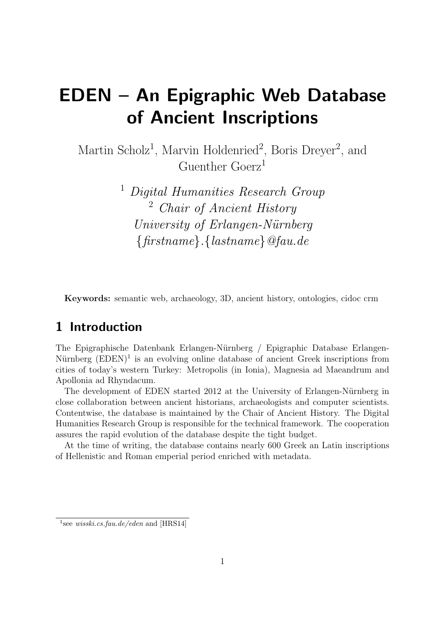# EDEN – An Epigraphic Web Database of Ancient Inscriptions

Martin Scholz<sup>1</sup>, Marvin Holdenried<sup>2</sup>, Boris Dreyer<sup>2</sup>, and Guenther Goerz<sup>1</sup>

> <sup>1</sup> Digital Humanities Research Group <sup>2</sup> Chair of Ancient History University of Erlangen-Nürnberg {firstname}.{lastname}@fau.de

Keywords: semantic web, archaeology, 3D, ancient history, ontologies, cidoc crm

### 1 Introduction

The Epigraphische Datenbank Erlangen-Nürnberg / Epigraphic Database Erlangen-Nürnberg  $(EDEN)^1$  is an evolving online database of ancient Greek inscriptions from cities of today's western Turkey: Metropolis (in Ionia), Magnesia ad Maeandrum and Apollonia ad Rhyndacum.

The development of EDEN started 2012 at the University of Erlangen-Nürnberg in close collaboration between ancient historians, archaeologists and computer scientists. Contentwise, the database is maintained by the Chair of Ancient History. The Digital Humanities Research Group is responsible for the technical framework. The cooperation assures the rapid evolution of the database despite the tight budget.

At the time of writing, the database contains nearly 600 Greek an Latin inscriptions of Hellenistic and Roman emperial period enriched with metadata.

<sup>&</sup>lt;sup>1</sup>see wisski.cs.fau.de/eden and [HRS14]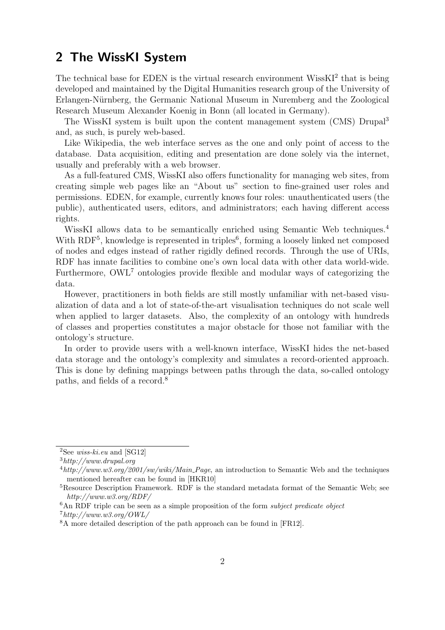### 2 The WissKI System

The technical base for EDEN is the virtual research environment WissKI<sup>2</sup> that is being developed and maintained by the Digital Humanities research group of the University of Erlangen-N¨urnberg, the Germanic National Museum in Nuremberg and the Zoological Research Museum Alexander Koenig in Bonn (all located in Germany).

The WissKI system is built upon the content management system (CMS) Drupal<sup>3</sup> and, as such, is purely web-based.

Like Wikipedia, the web interface serves as the one and only point of access to the database. Data acquisition, editing and presentation are done solely via the internet, usually and preferably with a web browser.

As a full-featured CMS, WissKI also offers functionality for managing web sites, from creating simple web pages like an "About us" section to fine-grained user roles and permissions. EDEN, for example, currently knows four roles: unauthenticated users (the public), authenticated users, editors, and administrators; each having different access rights.

WissKI allows data to be semantically enriched using Semantic Web techniques.<sup>4</sup> With RDF<sup>5</sup>, knowledge is represented in triples<sup>6</sup>, forming a loosely linked net composed of nodes and edges instead of rather rigidly defined records. Through the use of URIs, RDF has innate facilities to combine one's own local data with other data world-wide. Furthermore, OWL<sup>7</sup> ontologies provide flexible and modular ways of categorizing the data.

However, practitioners in both fields are still mostly unfamiliar with net-based visualization of data and a lot of state-of-the-art visualisation techniques do not scale well when applied to larger datasets. Also, the complexity of an ontology with hundreds of classes and properties constitutes a major obstacle for those not familiar with the ontology's structure.

In order to provide users with a well-known interface, WissKI hides the net-based data storage and the ontology's complexity and simulates a record-oriented approach. This is done by defining mappings between paths through the data, so-called ontology paths, and fields of a record.<sup>8</sup>

<sup>&</sup>lt;sup>2</sup>See *wiss-ki.eu* and [SG12]

<sup>3</sup>http://www.drupal.org

 $^{4}$ http://www.w3.org/2001/sw/wiki/Main\_Page, an introduction to Semantic Web and the techniques mentioned hereafter can be found in [HKR10]

<sup>5</sup>Resource Description Framework. RDF is the standard metadata format of the Semantic Web; see http://www.w3.org/RDF/

 $6$ An RDF triple can be seen as a simple proposition of the form *subject predicate object*  $7$ http://www.w3.org/OWL/

<sup>8</sup>A more detailed description of the path approach can be found in [FR12].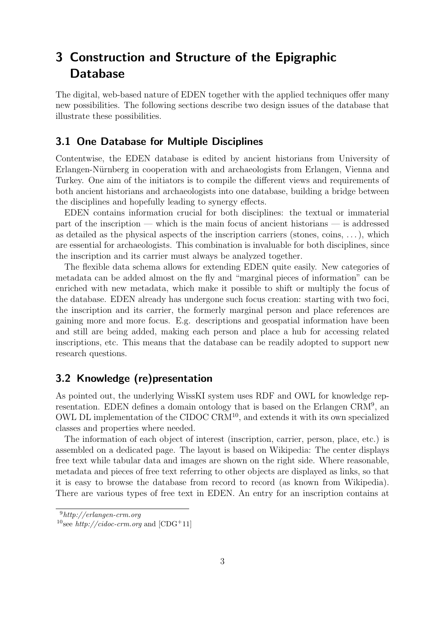## 3 Construction and Structure of the Epigraphic Database

The digital, web-based nature of EDEN together with the applied techniques offer many new possibilities. The following sections describe two design issues of the database that illustrate these possibilities.

#### 3.1 One Database for Multiple Disciplines

Contentwise, the EDEN database is edited by ancient historians from University of Erlangen-Nürnberg in cooperation with and archaeologists from Erlangen, Vienna and Turkey. One aim of the initiators is to compile the different views and requirements of both ancient historians and archaeologists into one database, building a bridge between the disciplines and hopefully leading to synergy effects.

EDEN contains information crucial for both disciplines: the textual or immaterial part of the inscription — which is the main focus of ancient historians — is addressed as detailed as the physical aspects of the inscription carriers (stones, coins, . . . ), which are essential for archaeologists. This combination is invaluable for both disciplines, since the inscription and its carrier must always be analyzed together.

The flexible data schema allows for extending EDEN quite easily. New categories of metadata can be added almost on the fly and "marginal pieces of information" can be enriched with new metadata, which make it possible to shift or multiply the focus of the database. EDEN already has undergone such focus creation: starting with two foci, the inscription and its carrier, the formerly marginal person and place references are gaining more and more focus. E.g. descriptions and geospatial information have been and still are being added, making each person and place a hub for accessing related inscriptions, etc. This means that the database can be readily adopted to support new research questions.

#### 3.2 Knowledge (re)presentation

As pointed out, the underlying WissKI system uses RDF and OWL for knowledge representation. EDEN defines a domain ontology that is based on the Erlangen CRM<sup>9</sup>, an OWL DL implementation of the CIDOC CRM<sup>10</sup>, and extends it with its own specialized classes and properties where needed.

The information of each object of interest (inscription, carrier, person, place, etc.) is assembled on a dedicated page. The layout is based on Wikipedia: The center displays free text while tabular data and images are shown on the right side. Where reasonable, metadata and pieces of free text referring to other objects are displayed as links, so that it is easy to browse the database from record to record (as known from Wikipedia). There are various types of free text in EDEN. An entry for an inscription contains at

<sup>9</sup>http://erlangen-crm.org

<sup>&</sup>lt;sup>10</sup>see *http://cidoc-crm.org* and  $[CDG+11]$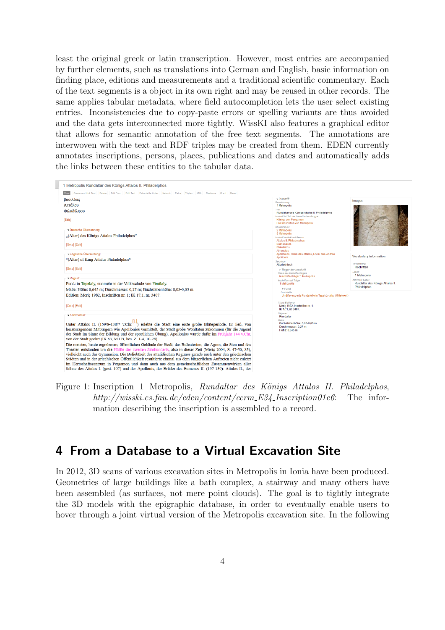least the original greek or latin transcription. However, most entries are accompanied by further elements, such as translations into German and English, basic information on finding place, editions and measurements and a traditional scientific commentary. Each of the text segments is a object in its own right and may be reused in other records. The same applies tabular metadata, where field autocompletion lets the user select existing entries. Inconsistencies due to copy-paste errors or spelling variants are thus avoided and the data gets interconnected more tightly. WissKI also features a graphical editor that allows for semantic annotation of the free text segments. The annotations are interwoven with the text and RDF triples may be created from them. EDEN currently annotates inscriptions, persons, places, publications and dates and automatically adds the links between these entities to the tabular data.

| Create and Link Text Delete Edit Form Edit Text Extractable triples Network Paths Triples XML Revisions Grant Devel<br>βασιλέως<br>Αττάλου<br>Φιλαδέλφου<br>[Edit]<br>- Deutsche Übersetzung<br>"(Altar) des Königs Attalos Philadelphos"<br>[Goto] [Edit]<br>- Englische Übersetzung:<br>"(Altar) of King Attalus Philadelphus"<br>[Goto] [Edit]<br>- Regest | $- Inschrift$<br>Bezeichnung<br>1 Metropolis<br>Titel<br>Rundaltar des Königs Attalos II. Philadelphos<br>Inschrift ist Teil der thematischen Gruppe<br>Könige von Pergamon<br>Die Inschriften von Metropolis<br>lst verlinkt mit<br>2 Metropolis<br>8 Metropolis<br>Inschrift verlinkt auf Person<br>Attalos II, Philadelphos<br><b>Eumenes II</b><br>Philetairos<br>Athenaios<br>Apollonios, Sohn des Attalos, Enkel des Andron<br><b>Apollonis</b><br>Sprachen | <b>Images</b>                                    |
|---------------------------------------------------------------------------------------------------------------------------------------------------------------------------------------------------------------------------------------------------------------------------------------------------------------------------------------------------------------|-------------------------------------------------------------------------------------------------------------------------------------------------------------------------------------------------------------------------------------------------------------------------------------------------------------------------------------------------------------------------------------------------------------------------------------------------------------------|--------------------------------------------------|
|                                                                                                                                                                                                                                                                                                                                                               |                                                                                                                                                                                                                                                                                                                                                                                                                                                                   |                                                  |
|                                                                                                                                                                                                                                                                                                                                                               |                                                                                                                                                                                                                                                                                                                                                                                                                                                                   |                                                  |
|                                                                                                                                                                                                                                                                                                                                                               |                                                                                                                                                                                                                                                                                                                                                                                                                                                                   |                                                  |
|                                                                                                                                                                                                                                                                                                                                                               |                                                                                                                                                                                                                                                                                                                                                                                                                                                                   |                                                  |
|                                                                                                                                                                                                                                                                                                                                                               |                                                                                                                                                                                                                                                                                                                                                                                                                                                                   |                                                  |
|                                                                                                                                                                                                                                                                                                                                                               |                                                                                                                                                                                                                                                                                                                                                                                                                                                                   |                                                  |
|                                                                                                                                                                                                                                                                                                                                                               |                                                                                                                                                                                                                                                                                                                                                                                                                                                                   |                                                  |
|                                                                                                                                                                                                                                                                                                                                                               |                                                                                                                                                                                                                                                                                                                                                                                                                                                                   |                                                  |
|                                                                                                                                                                                                                                                                                                                                                               |                                                                                                                                                                                                                                                                                                                                                                                                                                                                   |                                                  |
|                                                                                                                                                                                                                                                                                                                                                               |                                                                                                                                                                                                                                                                                                                                                                                                                                                                   | <b>Vocabulary information</b>                    |
|                                                                                                                                                                                                                                                                                                                                                               | Altgriechisch                                                                                                                                                                                                                                                                                                                                                                                                                                                     | Vocabulary:                                      |
|                                                                                                                                                                                                                                                                                                                                                               | - Träger der Inschrift                                                                                                                                                                                                                                                                                                                                                                                                                                            | Inschriften<br>Label:                            |
|                                                                                                                                                                                                                                                                                                                                                               | Name des inschriftenträgers<br>Inschriftenträger 1 Metropolis                                                                                                                                                                                                                                                                                                                                                                                                     | 1 Metropolis                                     |
|                                                                                                                                                                                                                                                                                                                                                               | Inschriften auf Träger                                                                                                                                                                                                                                                                                                                                                                                                                                            | Alternate Label:                                 |
| Fund: in Tepeköv, nunmehr in der Volksschule von Yeniköv.                                                                                                                                                                                                                                                                                                     | 1 Metropolis<br>$\blacktriangleright$ Fund                                                                                                                                                                                                                                                                                                                                                                                                                        | Rundaltar des Königs Attalos II.<br>Philadelphos |
| Maße: Höhe: 0,645 m; Durchmesser: 0,27 m; Buchstabenhöhe: 0,03-0,05 m.                                                                                                                                                                                                                                                                                        | Fundstelle                                                                                                                                                                                                                                                                                                                                                                                                                                                        |                                                  |
| Edition: Meric 1982, Inschriften nr. 1; IK 17,1, nr. 3407.                                                                                                                                                                                                                                                                                                    | Undifferenzierte Fundstelle in Tepeköy allg. (Mittelwert)                                                                                                                                                                                                                                                                                                                                                                                                         |                                                  |
| [Goto] [Edit]                                                                                                                                                                                                                                                                                                                                                 | Altere Editionen<br>Meric 1982, Inschriften nr. 1.                                                                                                                                                                                                                                                                                                                                                                                                                |                                                  |
|                                                                                                                                                                                                                                                                                                                                                               | IK 17.1, nr. 3407.                                                                                                                                                                                                                                                                                                                                                                                                                                                |                                                  |
| - Kommentar                                                                                                                                                                                                                                                                                                                                                   | Trägerart<br>Rundaltar                                                                                                                                                                                                                                                                                                                                                                                                                                            |                                                  |
| Unter Attalos II. (159/8-138/7 v.Chr. <sup>[1]</sup> ) erlebte die Stadt eine erste große Blüteperiode. Er ließ, von                                                                                                                                                                                                                                          | Maße<br>Buchstabenhöhe: 0.03-0.05 m                                                                                                                                                                                                                                                                                                                                                                                                                               |                                                  |
|                                                                                                                                                                                                                                                                                                                                                               | Durchmesser: 0.27 m                                                                                                                                                                                                                                                                                                                                                                                                                                               |                                                  |
| herausragenden Mitbürgern wie Apollonios vermittelt, der Stadt große Wohltaten zukommen (für die Jugend<br>der Stadt im Sinne der Bildung und der sportlichen Übung). Apollonios wurde dafür im Frühjahr 144 v.Chr.                                                                                                                                           | Höhe: 0.645 m                                                                                                                                                                                                                                                                                                                                                                                                                                                     |                                                  |
| von der Stadt geehrt (IK 63, M I B, bes. Z. 1-4, 10-28).                                                                                                                                                                                                                                                                                                      |                                                                                                                                                                                                                                                                                                                                                                                                                                                                   |                                                  |
| Die meisten, heute ergrabenen, öffentlichen Gebäude der Stadt, das Buleuterion, die Agora, die Stoa und das                                                                                                                                                                                                                                                   |                                                                                                                                                                                                                                                                                                                                                                                                                                                                   |                                                  |
| Theater, entstanden um die Hälfte des zweiten Jahrhunderts, also in dieser Zeit (Meric 2004, S. 47-50, 85),                                                                                                                                                                                                                                                   |                                                                                                                                                                                                                                                                                                                                                                                                                                                                   |                                                  |
| vielleicht auch das Gymnasion. Die Beliebtheit des attalidischen Regimes gerade auch unter den griechischen                                                                                                                                                                                                                                                   |                                                                                                                                                                                                                                                                                                                                                                                                                                                                   |                                                  |
| Städten und in der griechischen Öffentlichkeit resultierte einmal aus dem bürgerlichen Auftreten nicht zuletzt                                                                                                                                                                                                                                                |                                                                                                                                                                                                                                                                                                                                                                                                                                                                   |                                                  |
| im Herrschaftszentrum in Pergamon und dann auch aus dem gemeinschaftlichen Zusammenwirken aller<br>Söhne des Attalos I. (gest. 197) und der Apollonis, der Brüder des Eumenes II. (197-159): Attalos II., der                                                                                                                                                 |                                                                                                                                                                                                                                                                                                                                                                                                                                                                   |                                                  |

Figure 1: Inscription 1 Metropolis, Rundaltar des Königs Attalos II. Philadelphos, http://wisski.cs.fau.de/eden/content/ecrm\_E34\_Inscription01e6: The information describing the inscription is assembled to a record.

### 4 From a Database to a Virtual Excavation Site

In 2012, 3D scans of various excavation sites in Metropolis in Ionia have been produced. Geometries of large buildings like a bath complex, a stairway and many others have been assembled (as surfaces, not mere point clouds). The goal is to tightly integrate the 3D models with the epigraphic database, in order to eventually enable users to hover through a joint virtual version of the Metropolis excavation site. In the following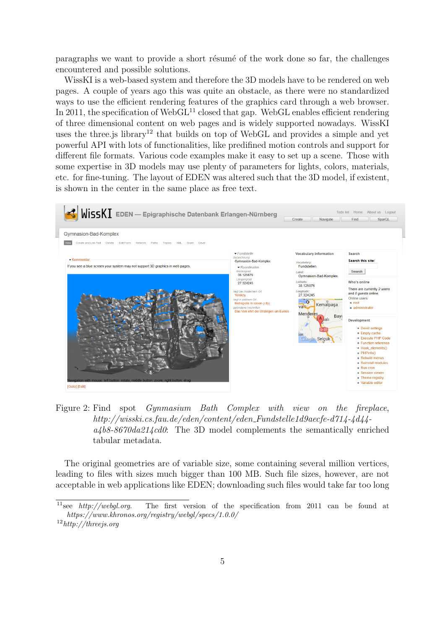paragraphs we want to provide a short résumé of the work done so far, the challenges encountered and possible solutions.

WissKI is a web-based system and therefore the 3D models have to be rendered on web pages. A couple of years ago this was quite an obstacle, as there were no standardized ways to use the efficient rendering features of the graphics card through a web browser. In 2011, the specification of Web $GL<sup>11</sup>$  closed that gap. WebGL enables efficient rendering of three dimensional content on web pages and is widely supported nowadays. WissKI uses the three is library<sup>12</sup> that builds on top of WebGL and provides a simple and yet powerful API with lots of functionalities, like predifined motion controls and support for different file formats. Various code examples make it easy to set up a scene. Those with some expertise in 3D models may use plenty of parameters for lights, colors, materials, etc. for fine-tuning. The layout of EDEN was altered such that the 3D model, if existent, is shown in the center in the same place as free text.



Figure 2: Find spot Gynmasium Bath Complex with view on the fireplace, http://wisski.cs.fau.de/eden/content/eden Fundstelle1d9aecfe-d714-4d44  $a4b8-8670da214cd0$ : The 3D model complements the semantically enriched tabular metadata.

The original geometries are of variable size, some containing several million vertices, leading to files with sizes much bigger than 100 MB. Such file sizes, however, are not acceptable in web applications like EDEN; downloading such files would take far too long

<sup>&</sup>lt;sup>11</sup>see http://webgl.org. The first version of the specification from 2011 can be found at https://www.khronos.org/registry/webgl/specs/1.0.0/

<sup>12</sup>http://threejs.org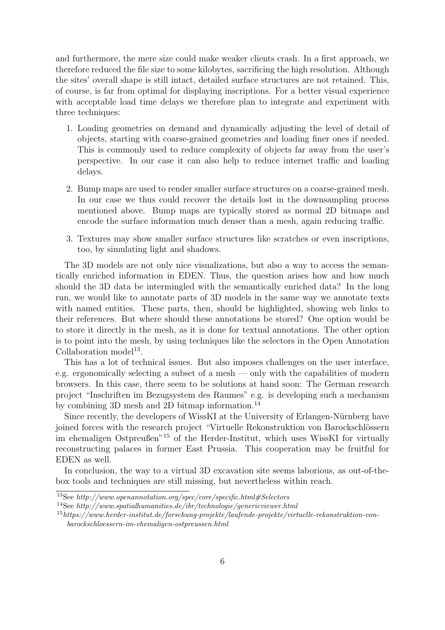and furthermore, the mere size could make weaker clients crash. In a first approach, we therefore reduced the file size to some kilobytes, sacrificing the high resolution. Although the sites' overall shape is still intact, detailed surface structures are not retained. This, of course, is far from optimal for displaying inscriptions. For a better visual experience with acceptable load time delays we therefore plan to integrate and experiment with three techniques:

- 1. Loading geometries on demand and dynamically adjusting the level of detail of objects, starting with coarse-grained geometries and loading finer ones if needed. This is commonly used to reduce complexity of objects far away from the user's perspective. In our case it can also help to reduce internet traffic and loading delays.
- 2. Bump maps are used to render smaller surface structures on a coarse-grained mesh. In our case we thus could recover the details lost in the downsampling process mentioned above. Bump maps are typically stored as normal 2D bitmaps and encode the surface information much denser than a mesh, again reducing traffic.
- 3. Textures may show smaller surface structures like scratches or even inscriptions, too, by simulating light and shadows.

The 3D models are not only nice visualizations, but also a way to access the semantically enriched information in EDEN. Thus, the question arises how and how much should the 3D data be intermingled with the semantically enriched data? In the long run, we would like to annotate parts of 3D models in the same way we annotate texts with named entities. These parts, then, should be highlighted, showing web links to their references. But where should these annotations be stored? One option would be to store it directly in the mesh, as it is done for textual annotations. The other option is to point into the mesh, by using techniques like the selectors in the Open Annotation Collaboration model<sup>13</sup>.

This has a lot of technical issues. But also imposes challenges on the user interface, e.g. ergonomically selecting a subset of a mesh — only with the capabilities of modern browsers. In this case, there seem to be solutions at hand soon: The German research project "Inschriften im Bezugsystem des Raumes" e.g. is developing such a mechanism by combining 3D mesh and 2D bitmap information.<sup>14</sup>

Since recently, the developers of WissKI at the University of Erlangen-Nürnberg have joined forces with the research project "Virtuelle Rekonstruktion von Barockschlössern im ehemaligen Ostpreußen"<sup>15</sup> of the Herder-Institut, which uses WissKI for virtually reconstructing palaces in former East Prussia. This cooperation may be fruitful for EDEN as well.

In conclusion, the way to a virtual 3D excavation site seems laborious, as out-of-thebox tools and techniques are still missing, but nevertheless within reach.

<sup>&</sup>lt;sup>13</sup>See http://www.openannotation.org/spec/core/specific.html#Selectors

<sup>&</sup>lt;sup>14</sup>See http://www.spatialhumanities.de/ibr/technologie/genericviewer.html

<sup>15</sup>https://www.herder-institut.de/forschung-projekte/laufende-projekte/virtuelle-rekonstruktion-vonbarockschloessern-im-ehemaligen-ostpreussen.html